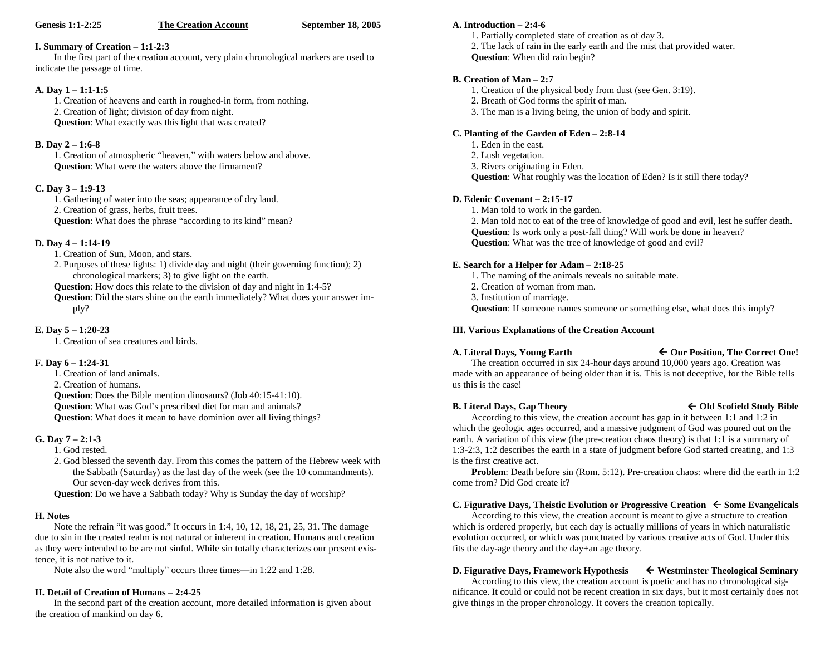#### **The Creation Account September 18, 2005**

#### **I. Summary of Creation – 1:1-2:3**

In the first part of the creation account, very plain chronological markers are used to indicate the passage of time.

#### **A. Day 1 – 1:1-1:5**

1. Creation of heavens and earth in roughed-in form, from nothing.

2. Creation of light; division of day from night.

**Question**: What exactly was this light that was created?

#### **B. Day 2 – 1:6-8**

1. Creation of atmospheric "heaven," with waters below and above. **Question**: What were the waters above the firmament?

#### **C. Day 3 – 1:9-13**

1. Gathering of water into the seas; appearance of dry land. 2. Creation of grass, herbs, fruit trees. **Question:** What does the phrase "according to its kind" mean?

#### **D. Day 4 – 1:14-19**

1. Creation of Sun, Moon, and stars.

2. Purposes of these lights: 1) divide day and night (their governing function); 2) chronological markers; 3) to give light on the earth.

**Question**: How does this relate to the division of day and night in 1:4-5?

**Question**: Did the stars shine on the earth immediately? What does your answer imply?

#### **E. Day 5 – 1:20-23**

1. Creation of sea creatures and birds.

#### **F. Day 6 – 1:24-31**

1. Creation of land animals.

2. Creation of humans.

**Question**: Does the Bible mention dinosaurs? (Job 40:15-41:10).

**Question**: What was God's prescribed diet for man and animals?

**Question**: What does it mean to have dominion over all living things?

# **G. Day 7 – 2:1-3**

- 1. God rested.
- 2. God blessed the seventh day. From this comes the pattern of the Hebrew week with the Sabbath (Saturday) as the last day of the week (see the 10 commandments). Our seven-day week derives from this.

**Question**: Do we have a Sabbath today? Why is Sunday the day of worship?

# **H. Notes**

Note the refrain "it was good." It occurs in 1:4, 10, 12, 18, 21, 25, 31. The damage due to sin in the created realm is not natural or inherent in creation. Humans and creation as they were intended to be are not sinful. While sin totally characterizes our present existence, it is not native to it.

Note also the word "multiply" occurs three times—in 1:22 and 1:28.

# **II. Detail of Creation of Humans – 2:4-25**

In the second part of the creation account, more detailed information is given about the creation of mankind on day 6.

#### **A. Introduction – 2:4-6**

- 1. Partially completed state of creation as of day 3.
- 2. The lack of rain in the early earth and the mist that provided water.
- **Question**: When did rain begin?

# **B. Creation of Man – 2:7**

- 1. Creation of the physical body from dust (see Gen. 3:19).
- 2. Breath of God forms the spirit of man.
- 3. The man is a living being, the union of body and spirit.

# **C. Planting of the Garden of Eden – 2:8-14**

- 1. Eden in the east.
- 2. Lush vegetation.
- 3. Rivers originating in Eden.

**Question**: What roughly was the location of Eden? Is it still there today?

# **D. Edenic Covenant – 2:15-17**

1. Man told to work in the garden.

2. Man told not to eat of the tree of knowledge of good and evil, lest he suffer death. **Question**: Is work only a post-fall thing? Will work be done in heaven? **Question**: What was the tree of knowledge of good and evil?

# **E. Search for a Helper for Adam – 2:18-25**

- 1. The naming of the animals reveals no suitable mate.
- 2. Creation of woman from man.
- 3. Institution of marriage.

**Question**: If someone names someone or something else, what does this imply?

# **III. Various Explanations of the Creation Account**

# A. Literal Days, Young Earth  $\leftarrow$  Our Position, The Correct One!

The creation occurred in six 24-hour days around 10,000 years ago. Creation was made with an appearance of being older than it is. This is not deceptive, for the Bible tells us this is the case!

# **B. Literal Days, Gap Theory Old Scofield Study Bible**

# According to this view, the creation account has gap in it between 1:1 and 1:2 in which the geologic ages occurred, and a massive judgment of God was poured out on the earth. A variation of this view (the pre-creation chaos theory) is that 1:1 is a summary of 1:3-2:3, 1:2 describes the earth in a state of judgment before God started creating, and 1:3

is the first creative act.

**Problem**: Death before sin (Rom. 5:12). Pre-creation chaos: where did the earth in 1:2 come from? Did God create it?

# **C. Figurative Days, Theistic Evolution or Progressive Creation**  $\epsilon$  Some Evangelicals

According to this view, the creation account is meant to give a structure to creation which is ordered properly, but each day is actually millions of years in which naturalistic evolution occurred, or which was punctuated by various creative acts of God. Under this fits the day-age theory and the day+an age theory.

# **D. Figurative Days, Framework Hypothesis**  $\leftarrow$  Westminster Theological Seminary

According to this view, the creation account is poetic and has no chronological significance. It could or could not be recent creation in six days, but it most certainly does not give things in the proper chronology. It covers the creation topically.